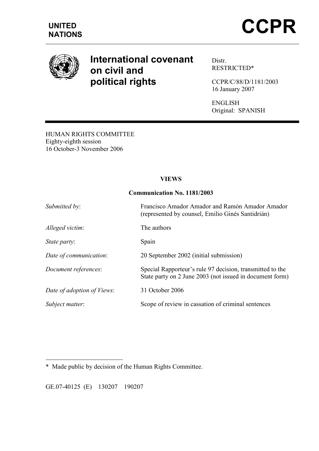

# International covenant on civil and political rights

Distr. RESTRICTED\*

CCPR/C/88/D/1181/2003 16 January 2007

ENGLISH Original: SPANISH

HUMAN RIGHTS COMMITTEE Eighty-eighth session 16 October-3 November 2006

## VIEWS

## Communication No. 1181/2003

| Submitted by:              | Francisco Amador Amador and Ramón Amador Amador<br>(represented by counsel, Emilio Ginés Santidrián)                  |
|----------------------------|-----------------------------------------------------------------------------------------------------------------------|
| Alleged victim:            | The authors                                                                                                           |
| State party:               | Spain                                                                                                                 |
| Date of communication:     | 20 September 2002 (initial submission)                                                                                |
| Document references:       | Special Rapporteur's rule 97 decision, transmitted to the<br>State party on 2 June 2003 (not issued in document form) |
| Date of adoption of Views: | 31 October 2006                                                                                                       |
| Subject matter:            | Scope of review in cassation of criminal sentences                                                                    |

 $\overline{a}$ \* Made public by decision of the Human Rights Committee.

GE.07-40125 (E) 130207 190207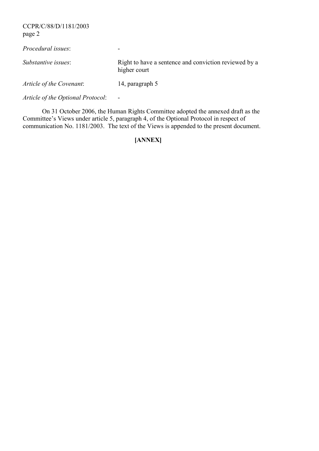CCPR/C/88/D/1181/2003 page 2

| Procedural issues:       | $\overline{\phantom{a}}$                                              |
|--------------------------|-----------------------------------------------------------------------|
| Substantive issues:      | Right to have a sentence and conviction reviewed by a<br>higher court |
| Article of the Covenant: | 14, paragraph 5                                                       |

Article of the Optional Protocol:

 On 31 October 2006, the Human Rights Committee adopted the annexed draft as the Committee's Views under article 5, paragraph 4, of the Optional Protocol in respect of communication No. 1181/2003. The text of the Views is appended to the present document.

## [ANNEX]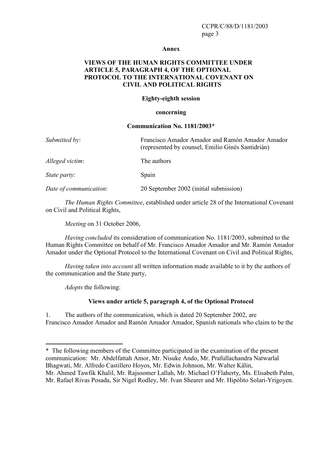#### Annex

## VIEWS OF THE HUMAN RIGHTS COMMITTEE UNDER ARTICLE 5, PARAGRAPH 4, OF THE OPTIONAL PROTOCOL TO THE INTERNATIONAL COVENANT ON CIVIL AND POLITICAL RIGHTS

#### Eighty-eighth session

#### concerning

#### Communication No. 1181/2003\*

| Submitted by:          | Francisco Amador Amador and Ramón Amador Amador<br>(represented by counsel, Emilio Ginés Santidrián) |
|------------------------|------------------------------------------------------------------------------------------------------|
| Alleged victim:        | The authors                                                                                          |
| <i>State party:</i>    | Spain                                                                                                |
| Date of communication: | 20 September 2002 (initial submission)                                                               |

The Human Rights Committee, established under article 28 of the International Covenant on Civil and Political Rights,

Meeting on 31 October 2006,

Having concluded its consideration of communication No. 1181/2003, submitted to the Human Rights Committee on behalf of Mr. Francisco Amador Amador and Mr. Ramón Amador Amador under the Optional Protocol to the International Covenant on Civil and Political Rights,

Having taken into account all written information made available to it by the authors of the communication and the State party,

Adopts the following:

 $\overline{a}$ 

#### Views under article 5, paragraph 4, of the Optional Protocol

1. The authors of the communication, which is dated 20 September 2002, are Francisco Amador Amador and Ramón Amador Amador, Spanish nationals who claim to be the

<sup>\*</sup> The following members of the Committee participated in the examination of the present communication: Mr. Abdelfattah Amor, Mr. Nisuke Ando, Mr. Prafullachandra Natwarlal Bhagwati, Mr. Alfredo Castillero Hoyos, Mr. Edwin Johnson, Mr. Walter Kälin, Mr. Ahmed Tawfik Khalil, Mr. Rajsoomer Lallah, Mr. Michael O'Flaherty, Ms. Elisabeth Palm, Mr. Rafael Rivas Posada, Sir Nigel Rodley, Mr. Ivan Shearer and Mr. Hipólito Solari-Yrigoyen.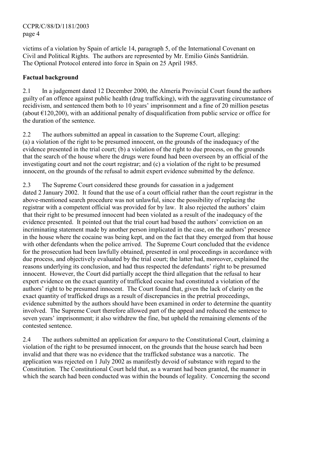CCPR/C/88/D/1181/2003 page 4

victims of a violation by Spain of article 14, paragraph 5, of the International Covenant on Civil and Political Rights. The authors are represented by Mr. Emilio Ginés Santidrián. The Optional Protocol entered into force in Spain on 25 April 1985.

## Factual background

2.1 In a judgement dated 12 December 2000, the Almería Provincial Court found the authors guilty of an offence against public health (drug trafficking), with the aggravating circumstance of recidivism, and sentenced them both to 10 years' imprisonment and a fine of 20 million pesetas (about  $\epsilon$ 120,200), with an additional penalty of disqualification from public service or office for the duration of the sentence.

2.2 The authors submitted an appeal in cassation to the Supreme Court, alleging: (a) a violation of the right to be presumed innocent, on the grounds of the inadequacy of the evidence presented in the trial court; (b) a violation of the right to due process, on the grounds that the search of the house where the drugs were found had been overseen by an official of the investigating court and not the court registrar; and (c) a violation of the right to be presumed innocent, on the grounds of the refusal to admit expert evidence submitted by the defence.

2.3 The Supreme Court considered these grounds for cassation in a judgement dated 2 January 2002. It found that the use of a court official rather than the court registrar in the above-mentioned search procedure was not unlawful, since the possibility of replacing the registrar with a competent official was provided for by law. It also rejected the authors' claim that their right to be presumed innocent had been violated as a result of the inadequacy of the evidence presented. It pointed out that the trial court had based the authors' conviction on an incriminating statement made by another person implicated in the case, on the authors' presence in the house where the cocaine was being kept, and on the fact that they emerged from that house with other defendants when the police arrived. The Supreme Court concluded that the evidence for the prosecution had been lawfully obtained, presented in oral proceedings in accordance with due process, and objectively evaluated by the trial court; the latter had, moreover, explained the reasons underlying its conclusion, and had thus respected the defendants' right to be presumed innocent. However, the Court did partially accept the third allegation that the refusal to hear expert evidence on the exact quantity of trafficked cocaine had constituted a violation of the authors' right to be presumed innocent. The Court found that, given the lack of clarity on the exact quantity of trafficked drugs as a result of discrepancies in the pretrial proceedings, evidence submitted by the authors should have been examined in order to determine the quantity involved. The Supreme Court therefore allowed part of the appeal and reduced the sentence to seven years' imprisonment; it also withdrew the fine, but upheld the remaining elements of the contested sentence.

2.4 The authors submitted an application for *amparo* to the Constitutional Court, claiming a violation of the right to be presumed innocent, on the grounds that the house search had been invalid and that there was no evidence that the trafficked substance was a narcotic. The application was rejected on 1 July 2002 as manifestly devoid of substance with regard to the Constitution. The Constitutional Court held that, as a warrant had been granted, the manner in which the search had been conducted was within the bounds of legality. Concerning the second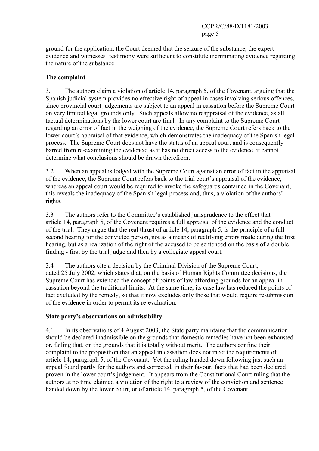ground for the application, the Court deemed that the seizure of the substance, the expert evidence and witnesses' testimony were sufficient to constitute incriminating evidence regarding the nature of the substance.

## The complaint

3.1 The authors claim a violation of article 14, paragraph 5, of the Covenant, arguing that the Spanish judicial system provides no effective right of appeal in cases involving serious offences, since provincial court judgements are subject to an appeal in cassation before the Supreme Court on very limited legal grounds only. Such appeals allow no reappraisal of the evidence, as all factual determinations by the lower court are final. In any complaint to the Supreme Court regarding an error of fact in the weighing of the evidence, the Supreme Court refers back to the lower court's appraisal of that evidence, which demonstrates the inadequacy of the Spanish legal process. The Supreme Court does not have the status of an appeal court and is consequently barred from re-examining the evidence; as it has no direct access to the evidence, it cannot determine what conclusions should be drawn therefrom.

3.2 When an appeal is lodged with the Supreme Court against an error of fact in the appraisal of the evidence, the Supreme Court refers back to the trial court's appraisal of the evidence, whereas an appeal court would be required to invoke the safeguards contained in the Covenant; this reveals the inadequacy of the Spanish legal process and, thus, a violation of the authors' rights.

3.3 The authors refer to the Committee's established jurisprudence to the effect that article 14, paragraph 5, of the Covenant requires a full appraisal of the evidence and the conduct of the trial. They argue that the real thrust of article 14, paragraph 5, is the principle of a full second hearing for the convicted person, not as a means of rectifying errors made during the first hearing, but as a realization of the right of the accused to be sentenced on the basis of a double finding - first by the trial judge and then by a collegiate appeal court.

3.4 The authors cite a decision by the Criminal Division of the Supreme Court, dated 25 July 2002, which states that, on the basis of Human Rights Committee decisions, the Supreme Court has extended the concept of points of law affording grounds for an appeal in cassation beyond the traditional limits. At the same time, its case law has reduced the points of fact excluded by the remedy, so that it now excludes only those that would require resubmission of the evidence in order to permit its re-evaluation.

## State party's observations on admissibility

4.1 In its observations of 4 August 2003, the State party maintains that the communication should be declared inadmissible on the grounds that domestic remedies have not been exhausted or, failing that, on the grounds that it is totally without merit. The authors confine their complaint to the proposition that an appeal in cassation does not meet the requirements of article 14, paragraph 5, of the Covenant. Yet the ruling handed down following just such an appeal found partly for the authors and corrected, in their favour, facts that had been declared proven in the lower court's judgement. It appears from the Constitutional Court ruling that the authors at no time claimed a violation of the right to a review of the conviction and sentence handed down by the lower court, or of article 14, paragraph 5, of the Covenant.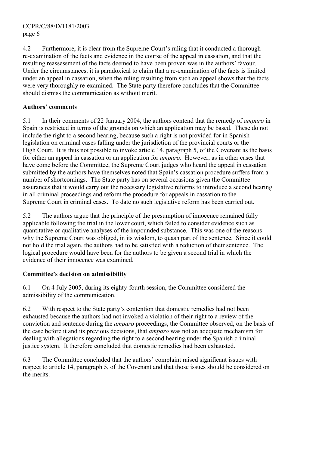4.2 Furthermore, it is clear from the Supreme Court's ruling that it conducted a thorough re-examination of the facts and evidence in the course of the appeal in cassation, and that the resulting reassessment of the facts deemed to have been proven was in the authors' favour. Under the circumstances, it is paradoxical to claim that a re-examination of the facts is limited under an appeal in cassation, when the ruling resulting from such an appeal shows that the facts were very thoroughly re-examined. The State party therefore concludes that the Committee should dismiss the communication as without merit.

## Authors' comments

5.1 In their comments of 22 January 2004, the authors contend that the remedy of *amparo* in Spain is restricted in terms of the grounds on which an application may be based. These do not include the right to a second hearing, because such a right is not provided for in Spanish legislation on criminal cases falling under the jurisdiction of the provincial courts or the High Court. It is thus not possible to invoke article 14, paragraph 5, of the Covenant as the basis for either an appeal in cassation or an application for *amparo*. However, as in other cases that have come before the Committee, the Supreme Court judges who heard the appeal in cassation submitted by the authors have themselves noted that Spain's cassation procedure suffers from a number of shortcomings. The State party has on several occasions given the Committee assurances that it would carry out the necessary legislative reforms to introduce a second hearing in all criminal proceedings and reform the procedure for appeals in cassation to the Supreme Court in criminal cases. To date no such legislative reform has been carried out.

5.2 The authors argue that the principle of the presumption of innocence remained fully applicable following the trial in the lower court, which failed to consider evidence such as quantitative or qualitative analyses of the impounded substance. This was one of the reasons why the Supreme Court was obliged, in its wisdom, to quash part of the sentence. Since it could not hold the trial again, the authors had to be satisfied with a reduction of their sentence. The logical procedure would have been for the authors to be given a second trial in which the evidence of their innocence was examined.

## Committee's decision on admissibility

6.1 On 4 July 2005, during its eighty-fourth session, the Committee considered the admissibility of the communication.

6.2 With respect to the State party's contention that domestic remedies had not been exhausted because the authors had not invoked a violation of their right to a review of the conviction and sentence during the amparo proceedings, the Committee observed, on the basis of the case before it and its previous decisions, that amparo was not an adequate mechanism for dealing with allegations regarding the right to a second hearing under the Spanish criminal justice system. It therefore concluded that domestic remedies had been exhausted.

6.3 The Committee concluded that the authors' complaint raised significant issues with respect to article 14, paragraph 5, of the Covenant and that those issues should be considered on the merits.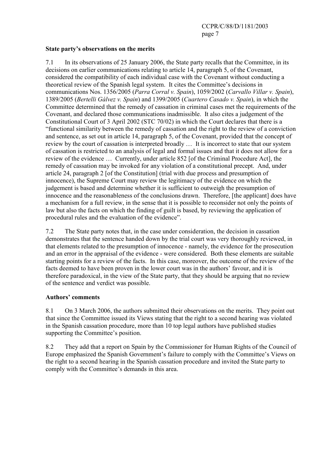## State party's observations on the merits

7.1 In its observations of 25 January 2006, the State party recalls that the Committee, in its decisions on earlier communications relating to article 14, paragraph 5, of the Covenant, considered the compatibility of each individual case with the Covenant without conducting a theoretical review of the Spanish legal system. It cites the Committee's decisions in communications Nos. 1356/2005 (Parra Corral v. Spain), 1059/2002 (Carvallo Villar v. Spain), 1389/2005 (Bertelli Gálvez v. Spain) and 1399/2005 (Cuartero Casado v. Spain), in which the Committee determined that the remedy of cassation in criminal cases met the requirements of the Covenant, and declared those communications inadmissible. It also cites a judgement of the Constitutional Court of 3 April 2002 (STC 70/02) in which the Court declares that there is a "functional similarity between the remedy of cassation and the right to the review of a conviction and sentence, as set out in article 14, paragraph 5, of the Covenant, provided that the concept of review by the court of cassation is interpreted broadly … It is incorrect to state that our system of cassation is restricted to an analysis of legal and formal issues and that it does not allow for a review of the evidence … Currently, under article 852 [of the Criminal Procedure Act], the remedy of cassation may be invoked for any violation of a constitutional precept. And, under article 24, paragraph 2 [of the Constitution] (trial with due process and presumption of innocence), the Supreme Court may review the legitimacy of the evidence on which the judgement is based and determine whether it is sufficient to outweigh the presumption of innocence and the reasonableness of the conclusions drawn. Therefore, [the applicant] does have a mechanism for a full review, in the sense that it is possible to reconsider not only the points of law but also the facts on which the finding of guilt is based, by reviewing the application of procedural rules and the evaluation of the evidence".

7.2 The State party notes that, in the case under consideration, the decision in cassation demonstrates that the sentence handed down by the trial court was very thoroughly reviewed, in that elements related to the presumption of innocence - namely, the evidence for the prosecution and an error in the appraisal of the evidence - were considered. Both these elements are suitable starting points for a review of the facts. In this case, moreover, the outcome of the review of the facts deemed to have been proven in the lower court was in the authors' favour, and it is therefore paradoxical, in the view of the State party, that they should be arguing that no review of the sentence and verdict was possible.

## Authors' comments

8.1 On 3 March 2006, the authors submitted their observations on the merits. They point out that since the Committee issued its Views stating that the right to a second hearing was violated in the Spanish cassation procedure, more than 10 top legal authors have published studies supporting the Committee's position.

8.2 They add that a report on Spain by the Commissioner for Human Rights of the Council of Europe emphasized the Spanish Government's failure to comply with the Committee's Views on the right to a second hearing in the Spanish cassation procedure and invited the State party to comply with the Committee's demands in this area.